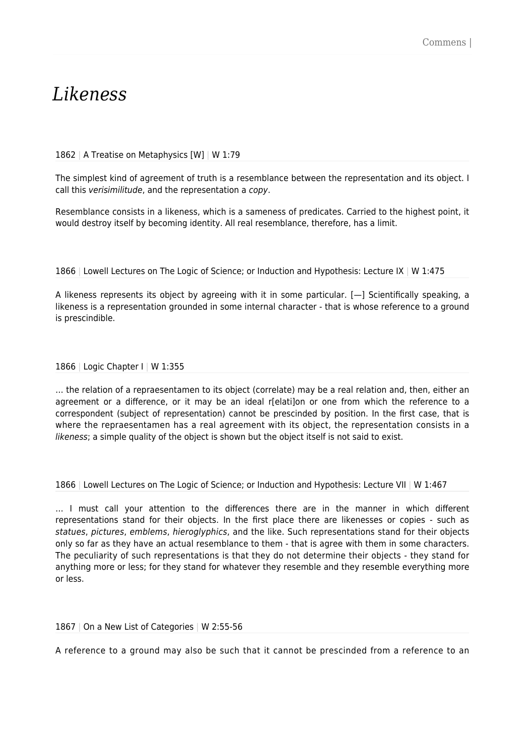# *Likeness*

#### 1862 | A Treatise on Metaphysics [W] | W 1:79

The simplest kind of agreement of truth is a resemblance between the representation and its object. I call this verisimilitude, and the representation a copy.

Resemblance consists in a likeness, which is a sameness of predicates. Carried to the highest point, it would destroy itself by becoming identity. All real resemblance, therefore, has a limit.

1866 | Lowell Lectures on The Logic of Science; or Induction and Hypothesis: Lecture IX | W 1:475

A likeness represents its object by agreeing with it in some particular. [—] Scientifically speaking, a likeness is a representation grounded in some internal character - that is whose reference to a ground is prescindible.

#### 1866 | Logic Chapter I | W 1:355

… the relation of a repraesentamen to its object (correlate) may be a real relation and, then, either an agreement or a difference, or it may be an ideal r[elati]on or one from which the reference to a correspondent (subject of representation) cannot be prescinded by position. In the first case, that is where the repraesentamen has a real agreement with its object, the representation consists in a likeness; a simple quality of the object is shown but the object itself is not said to exist.

1866 | Lowell Lectures on The Logic of Science; or Induction and Hypothesis: Lecture VII | W 1:467

… I must call your attention to the differences there are in the manner in which different representations stand for their objects. In the first place there are likenesses or copies - such as statues, pictures, emblems, hieroglyphics, and the like. Such representations stand for their objects only so far as they have an actual resemblance to them - that is agree with them in some characters. The peculiarity of such representations is that they do not determine their objects - they stand for anything more or less; for they stand for whatever they resemble and they resemble everything more or less.

## 1867 | On a New List of Categories | W 2:55-56

A reference to a ground may also be such that it cannot be prescinded from a reference to an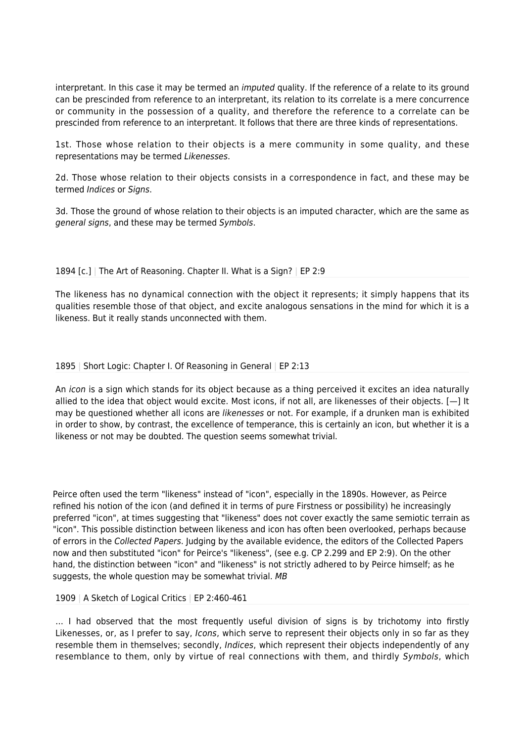interpretant. In this case it may be termed an imputed quality. If the reference of a relate to its ground can be prescinded from reference to an interpretant, its relation to its correlate is a mere concurrence or community in the possession of a quality, and therefore the reference to a correlate can be prescinded from reference to an interpretant. It follows that there are three kinds of representations.

1st. Those whose relation to their objects is a mere community in some quality, and these representations may be termed Likenesses.

2d. Those whose relation to their objects consists in a correspondence in fact, and these may be termed Indices or Signs.

3d. Those the ground of whose relation to their objects is an imputed character, which are the same as general signs, and these may be termed Symbols.

# 1894 [c.] | The Art of Reasoning. Chapter II. What is a Sign? | EP 2:9

The likeness has no dynamical connection with the object it represents; it simply happens that its qualities resemble those of that object, and excite analogous sensations in the mind for which it is a likeness. But it really stands unconnected with them.

## 1895 | Short Logic: Chapter I. Of Reasoning in General | EP 2:13

An icon is a sign which stands for its object because as a thing perceived it excites an idea naturally allied to the idea that object would excite. Most icons, if not all, are likenesses of their objects. [—] It may be questioned whether all icons are *likenesses* or not. For example, if a drunken man is exhibited in order to show, by contrast, the excellence of temperance, this is certainly an icon, but whether it is a likeness or not may be doubted. The question seems somewhat trivial.

Peirce often used the term "likeness" instead of "icon", especially in the 1890s. However, as Peirce refined his notion of the icon (and defined it in terms of pure Firstness or possibility) he increasingly preferred "icon", at times suggesting that "likeness" does not cover exactly the same semiotic terrain as "icon". This possible distinction between likeness and icon has often been overlooked, perhaps because of errors in the Collected Papers. Judging by the available evidence, the editors of the Collected Papers now and then substituted "icon" for Peirce's "likeness", (see e.g. CP 2.299 and EP 2:9). On the other hand, the distinction between "icon" and "likeness" is not strictly adhered to by Peirce himself; as he suggests, the whole question may be somewhat trivial. MB

## 1909 | A Sketch of Logical Critics | EP 2:460-461

… I had observed that the most frequently useful division of signs is by trichotomy into firstly Likenesses, or, as I prefer to say, *Icons*, which serve to represent their objects only in so far as they resemble them in themselves; secondly, *Indices*, which represent their objects independently of any resemblance to them, only by virtue of real connections with them, and thirdly Symbols, which